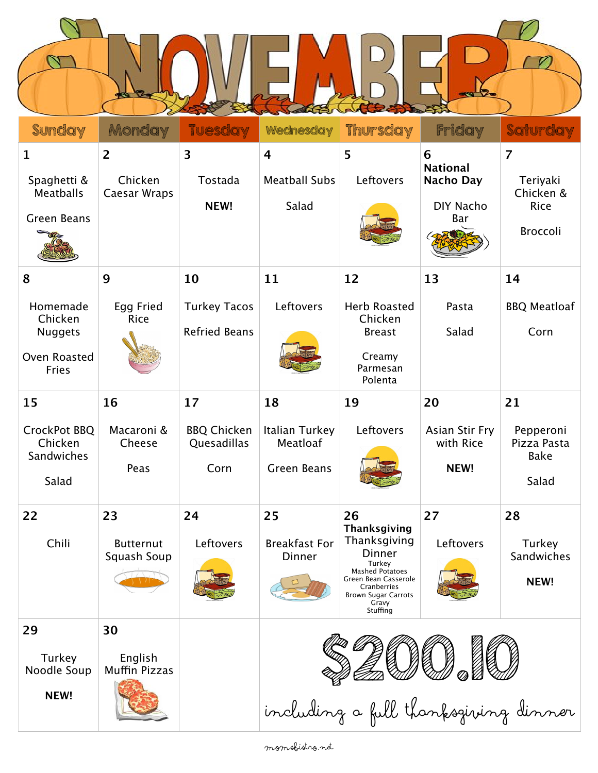$\overline{D}$ 

 $\overline{\phantom{a}}$ 

 $\overline{\alpha}$ 

| <b>Sunday</b>                                                         | Monday                                    | <b>Tuesday</b>                              | Wednesday                                                | <b>Thursday</b>                                                                                                                               | Friday                                                       | Saturday                                                    |
|-----------------------------------------------------------------------|-------------------------------------------|---------------------------------------------|----------------------------------------------------------|-----------------------------------------------------------------------------------------------------------------------------------------------|--------------------------------------------------------------|-------------------------------------------------------------|
| $\mathbf{1}$<br>Spaghetti &<br><b>Meatballs</b><br><b>Green Beans</b> | $\overline{2}$<br>Chicken<br>Caesar Wraps | $\overline{\mathbf{3}}$<br>Tostada<br>NEW!  | $\overline{\mathbf{4}}$<br><b>Meatball Subs</b><br>Salad | 5<br>Leftovers                                                                                                                                | 6<br><b>National</b><br>Nacho Day<br><b>DIY Nacho</b><br>Bar | $\overline{7}$<br>Teriyaki<br>Chicken &<br>Rice<br>Broccoli |
| 8                                                                     | 9                                         | 10                                          | 11                                                       | 12                                                                                                                                            | 13                                                           | 14                                                          |
| Homemade<br>Chicken<br><b>Nuggets</b><br>Oven Roasted<br><b>Fries</b> | Egg Fried<br>Rice                         | <b>Turkey Tacos</b><br><b>Refried Beans</b> | Leftovers                                                | <b>Herb Roasted</b><br>Chicken<br><b>Breast</b><br>Creamy<br>Parmesan<br>Polenta                                                              | Pasta<br>Salad                                               | <b>BBQ Meatloaf</b><br>Corn                                 |
| 15                                                                    | 16                                        | 17                                          | 18                                                       | 19                                                                                                                                            | 20                                                           | 21                                                          |
| CrockPot BBQ<br>Chicken<br>Sandwiches<br>Salad                        | Macaroni &<br>Cheese<br>Peas              | <b>BBQ Chicken</b><br>Quesadillas<br>Corn   | Italian Turkey<br>Meatloaf<br><b>Green Beans</b>         | Leftovers                                                                                                                                     | Asian Stir Fry<br>with Rice<br>NEW!                          | Pepperoni<br>Pizza Pasta<br><b>Bake</b><br>Salad            |
| 22                                                                    | 23                                        | 24                                          | 25                                                       | 26<br>Thanksgiving                                                                                                                            | 27                                                           | 28                                                          |
| Chili                                                                 | <b>Butternut</b><br>Squash Soup           | Leftovers                                   | <b>Breakfast For</b><br>Dinner                           | Thanksgiving<br>Dinner<br>Turkey<br><b>Mashed Potatoes</b><br>Green Bean Casserole<br>Cranberries<br>Brown Sugar Carrots<br>Gravy<br>Stuffing | Leftovers                                                    | Turkey<br>Sandwiches<br>NEW!                                |
| 29                                                                    | 30                                        |                                             |                                                          |                                                                                                                                               |                                                              |                                                             |
| Turkey<br>Noodle Soup<br>NEW!                                         | English<br><b>Muffin Pizzas</b>           |                                             |                                                          |                                                                                                                                               | including a full thanksgiving dinner                         |                                                             |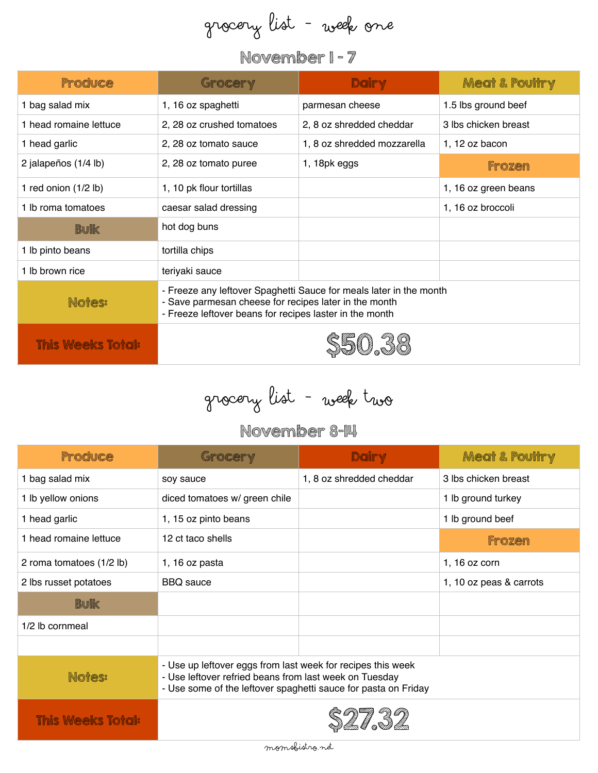# Grocery List - Week One

#### November 1 - 7

| Produce                  | Grocery                                                                                                                                                                                | Dairy                       | <b>Meat &amp; Poultry</b> |  |
|--------------------------|----------------------------------------------------------------------------------------------------------------------------------------------------------------------------------------|-----------------------------|---------------------------|--|
| bag salad mix            | 1, 16 oz spaghetti                                                                                                                                                                     | parmesan cheese             | 1.5 lbs ground beef       |  |
| 1 head romaine lettuce   | 2, 28 oz crushed tomatoes                                                                                                                                                              | 2, 8 oz shredded cheddar    | 3 lbs chicken breast      |  |
| 1 head garlic            | 2, 28 oz tomato sauce                                                                                                                                                                  | 1, 8 oz shredded mozzarella | 1, 12 oz bacon            |  |
| 2 jalapeños (1/4 lb)     | 2, 28 oz tomato puree                                                                                                                                                                  | 1, 18pk eggs                | Frozen                    |  |
| 1 red onion (1/2 lb)     | 1, 10 pk flour tortillas                                                                                                                                                               |                             | 1, 16 oz green beans      |  |
| 1 lb roma tomatoes       | caesar salad dressing                                                                                                                                                                  |                             | 1, 16 oz broccoli         |  |
| <b>Bulk</b>              | hot dog buns                                                                                                                                                                           |                             |                           |  |
| 1 lb pinto beans         | tortilla chips                                                                                                                                                                         |                             |                           |  |
| 1 lb brown rice          | teriyaki sauce                                                                                                                                                                         |                             |                           |  |
| Notes:                   | - Freeze any leftover Spaghetti Sauce for meals later in the month<br>- Save parmesan cheese for recipes later in the month<br>- Freeze leftover beans for recipes laster in the month |                             |                           |  |
| <b>This Weeks Total:</b> |                                                                                                                                                                                        |                             |                           |  |

Grocery List - Week two

#### November 8-14

| Produce                  | Grocery                                                                                                                                                                                 | Dairy                    | <b>Meat &amp; Poultry</b> |  |
|--------------------------|-----------------------------------------------------------------------------------------------------------------------------------------------------------------------------------------|--------------------------|---------------------------|--|
| 1 bag salad mix          | soy sauce                                                                                                                                                                               | 1, 8 oz shredded cheddar | 3 lbs chicken breast      |  |
| 1 lb yellow onions       | diced tomatoes w/ green chile                                                                                                                                                           |                          | 1 lb ground turkey        |  |
| 1 head garlic            | 1, 15 oz pinto beans                                                                                                                                                                    |                          | 1 lb ground beef          |  |
| 1 head romaine lettuce   | 12 ct taco shells                                                                                                                                                                       |                          | Frozen                    |  |
| 2 roma tomatoes (1/2 lb) | 1, 16 oz pasta                                                                                                                                                                          |                          | 1, 16 $oz$ corn           |  |
| 2 lbs russet potatoes    | <b>BBQ</b> sauce                                                                                                                                                                        |                          | 1, 10 oz peas & carrots   |  |
| <b>Bulk</b>              |                                                                                                                                                                                         |                          |                           |  |
| 1/2 lb cornmeal          |                                                                                                                                                                                         |                          |                           |  |
|                          |                                                                                                                                                                                         |                          |                           |  |
| <b>Notes:</b>            | - Use up leftover eggs from last week for recipes this week<br>- Use leftover refried beans from last week on Tuesday<br>- Use some of the leftover spaghetti sauce for pasta on Friday |                          |                           |  |
| <b>This Weeks Total:</b> |                                                                                                                                                                                         |                          |                           |  |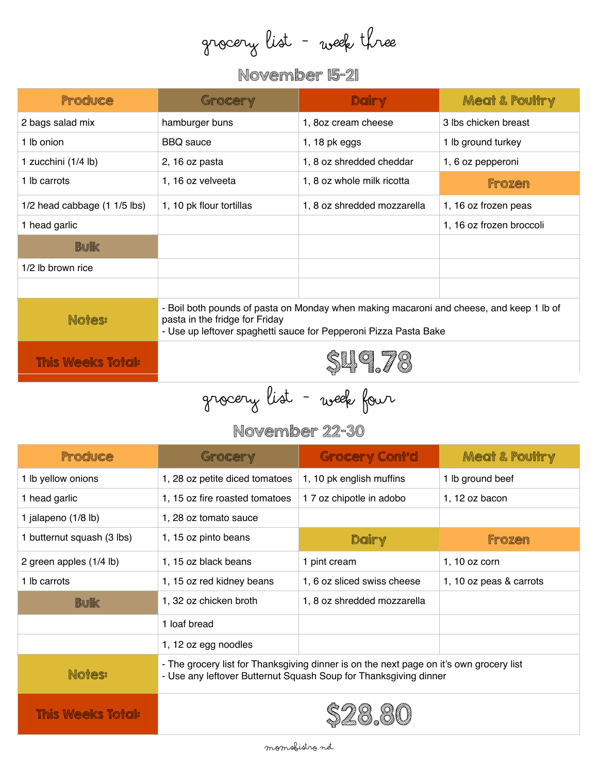grocery list - week three

## November 15-21

| Produce                      | Grocery                                                                                                                                                                                       | Dairy                       | <b>Meat &amp; Poultry</b> |  |
|------------------------------|-----------------------------------------------------------------------------------------------------------------------------------------------------------------------------------------------|-----------------------------|---------------------------|--|
| 2 bags salad mix             | hamburger buns                                                                                                                                                                                | 1, 8oz cream cheese         | 3 lbs chicken breast      |  |
| 1 lb onion                   | <b>BBQ</b> sauce                                                                                                                                                                              | $1, 18$ pk eggs             | 1 lb ground turkey        |  |
| 1 zucchini (1/4 lb)          | 2, 16 oz pasta                                                                                                                                                                                | 1, 8 oz shredded cheddar    | 1, 6 oz pepperoni         |  |
| 1 lb carrots                 | 1, 16 oz velveeta                                                                                                                                                                             | 1, 8 oz whole milk ricotta  | Frozen                    |  |
| 1/2 head cabbage (1 1/5 lbs) | 1, 10 pk flour tortillas                                                                                                                                                                      | 1, 8 oz shredded mozzarella | 1, 16 oz frozen peas      |  |
| 1 head garlic                |                                                                                                                                                                                               |                             | 1, 16 oz frozen broccoli  |  |
| <b>Bulk</b>                  |                                                                                                                                                                                               |                             |                           |  |
| 1/2 lb brown rice            |                                                                                                                                                                                               |                             |                           |  |
|                              |                                                                                                                                                                                               |                             |                           |  |
| Notes:                       | - Boil both pounds of pasta on Monday when making macaroni and cheese, and keep 1 lb of<br>pasta in the fridge for Friday<br>- Use up leftover spaghetti sauce for Pepperoni Pizza Pasta Bake |                             |                           |  |
| <b>This Weeks Total:</b>     |                                                                                                                                                                                               |                             |                           |  |

Grocery List - Week four

### November 22-30

| Produce                    | Grocery                                                                                                                                                     | <b>Grocery Cont'd</b>       | <b>Meat &amp; Poultry</b> |  |
|----------------------------|-------------------------------------------------------------------------------------------------------------------------------------------------------------|-----------------------------|---------------------------|--|
| 1 lb yellow onions         | 1, 28 oz petite diced tomatoes                                                                                                                              | 1, 10 pk english muffins    | 1 lb ground beef          |  |
| 1 head garlic              | 1, 15 oz fire roasted tomatoes                                                                                                                              | 1 7 oz chipotle in adobo    | 1, 12 $oz$ bacon          |  |
| 1 jalapeno (1/8 lb)        | 1, 28 oz tomato sauce                                                                                                                                       |                             |                           |  |
| 1 butternut squash (3 lbs) | 1, 15 oz pinto beans                                                                                                                                        | Dairy                       | <b>Frozen</b>             |  |
| 2 green apples (1/4 lb)    | 1, 15 oz black beans                                                                                                                                        | 1 pint cream                | 1, 10 oz corn             |  |
| 1 lb carrots               | 1, 15 oz red kidney beans                                                                                                                                   | 1, 6 oz sliced swiss cheese | 1, 10 oz peas & carrots   |  |
| <b>Bulk</b>                | 1, 32 oz chicken broth                                                                                                                                      | 1, 8 oz shredded mozzarella |                           |  |
|                            | 1 loaf bread                                                                                                                                                |                             |                           |  |
|                            | 1, 12 oz egg noodles                                                                                                                                        |                             |                           |  |
| Notes:                     | - The grocery list for Thanksgiving dinner is on the next page on it's own grocery list<br>- Use any leftover Butternut Squash Soup for Thanksgiving dinner |                             |                           |  |
| <b>This Weeks Total:</b>   |                                                                                                                                                             |                             |                           |  |